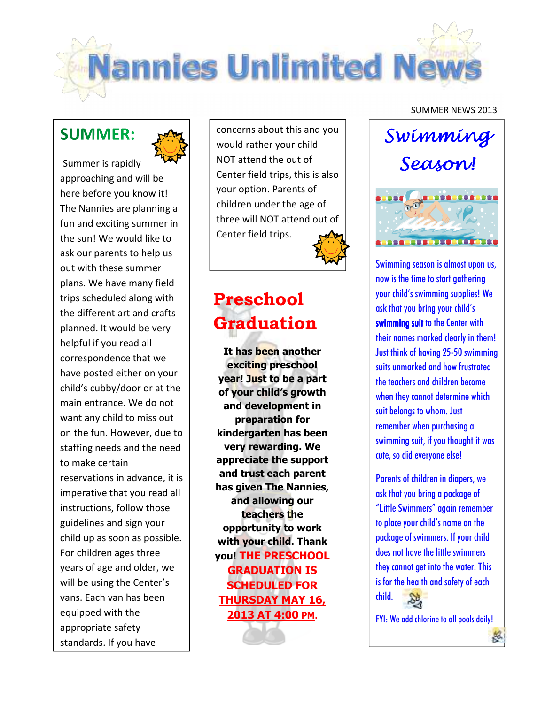

# **SUMMER:**



Summer is rapidly approaching and will be here before you know it! The Nannies are planning a fun and exciting summer in the sun! We would like to ask our parents to help us out with these summer plans. We have many field trips scheduled along with the different art and crafts planned. It would be very helpful if you read all correspondence that we have posted either on your child's cubby/door or at the main entrance. We do not want any child to miss out on the fun. However, due to staffing needs and the need to make certain reservations in advance, it is imperative that you read all instructions, follow those guidelines and sign your child up as soon as possible. For children ages three years of age and older, we will be using the Center's vans. Each van has been equipped with the appropriate safety standards. If you have

concerns about this and you would rather your child NOT attend the out of Center field trips, this is also your option. Parents of children under the age of three will NOT attend out of Center field trips.

# **Preschool Graduation**

**It has been another exciting preschool year! Just to be a part of your child's growth and development in preparation for kindergarten has been very rewarding. We appreciate the support and trust each parent has given The Nannies, and allowing our teachers the opportunity to work with your child. Thank you! THE PRESCHOOL GRADUATION IS SCHEDULED FOR THURSDAY MAY 16, 2013 AT 4:00 PM.**

#### SUMMER NEWS 2013



Swimming season is almost upon us, now is the time to start gathering your child's swimming supplies! We ask that you bring your child's swimming suit to the Center with their names marked clearly in them! Just think of having 25-50 swimming suits unmarked and how frustrated the teachers and children become when they cannot determine which suit belongs to whom. Just remember when purchasing a swimming suit, if you thought it was cute, so did everyone else!

Parents of children in diapers, we ask that you bring a package of "Little Swimmers" again remember to place your child's name on the package of swimmers. If your child does not have the little swimmers they cannot get into the water. This is for the health and safety of each child.

FYI: We add chlorine to all pools daily!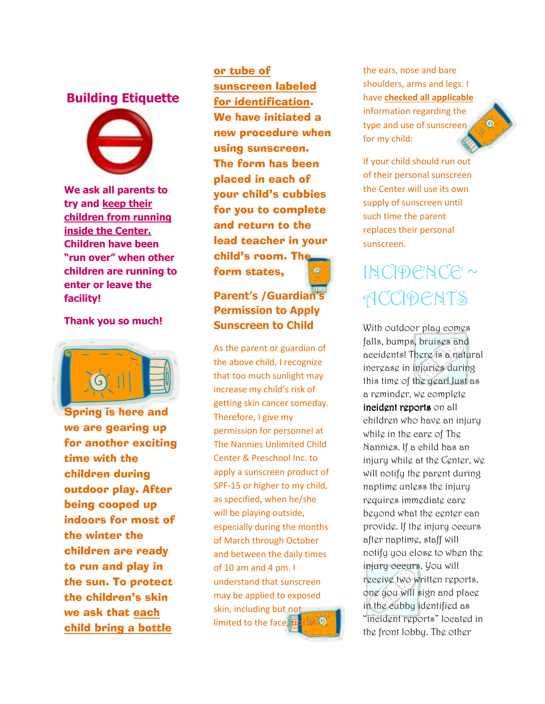### **Building Etiquette**



**We ask all parents to try and keep their children from running inside the Center. Children have been "run over" when other children are running to enter or leave the facility!** 

#### **Thank you so much!**



Spring is here and we are gearing up for another exciting time with the children during outdoor play. After being cooped up indoors for most of the winter the children are ready to run and play in the sun. To protect the children's skin we ask that each child bring a bottle

or tube of sunscreen labeled for identification. We have initiated a new procedure when using sunscreen. The form has been placed in each of your child's cubbies for you to complete and return to the lead teacher in your child's room. The form states,

### **Parent's /Guardian's Permission to Apply Sunscreen to Child**

As the parent or guardian of the above child, I recognize that too much sunlight may increase my child's risk of getting skin cancer someday. Therefore, I give my permission for personnel at The Nannies Unlimited Child Center & Preschool Inc. to apply a sunscreen product of SPF-15 or higher to my child, as specified, when he/she will be playing outside, especially during the months of March through October and between the daily times of 10 am and 4 pm. I understand that sunscreen may be applied to exposed skin, including but not limited to the face,  $t$ 

the ears, nose and bare shoulders, arms and legs. I have **checked all applicable** information regarding the type and use of sunscreen for my child:

If your child should run out of their personal sunscreen the Center will use its own supply of sunscreen until such time the parent replaces their personal sunscreen.

# INCIDENCE ~ **ACCIDENTS**

With outdoor play comes falls, bumps, bruisgs and accidents! There is a natural increase in injuries during this time of the year! Just as a reminder, we complete incident reports on all children who have an injury while in the care of The Nannies. If a child has an injury while at the Center, we will notify the parent during naptime unless the injury requires immediate care beyond what the center can provide. If the injury occurs after naptime, staff will notify you close to when the injury occurs. You will receive two written reports, one you will sign and place in the cubby identified as "incident reports" located in the front lobby. The other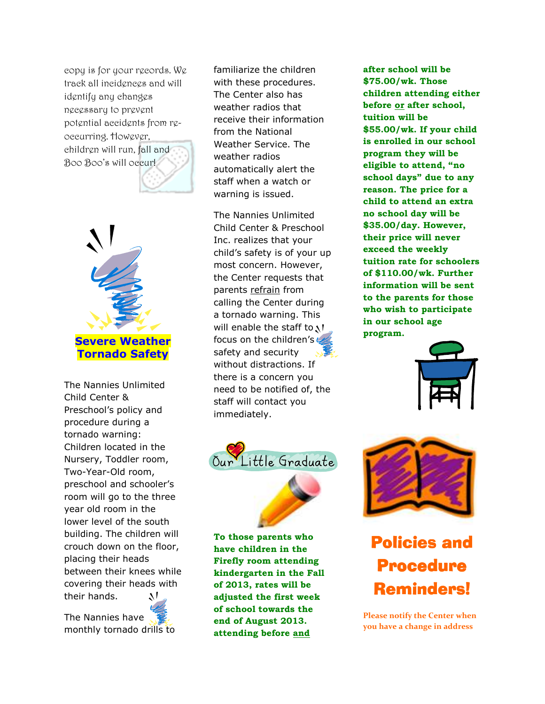copy is for your records. We track all incidences and will identify any changes necessary to prevent potential accidents from reoccurring. However, children will run, fall and Boo Boo's will occur!



The Nannies Unlimited Child Center & Preschool's policy and procedure during a tornado warning: Children located in the Nursery, Toddler room, Two-Year-Old room, preschool and schooler's room will go to the three year old room in the lower level of the south building. The children will crouch down on the floor, placing their heads between their knees while covering their heads with their hands. лL

The Nannies have monthly tornado drills to familiarize the children with these procedures. The Center also has weather radios that receive their information from the National Weather Service. The weather radios automatically alert the staff when a watch or warning is issued.

The Nannies Unlimited Child Center & Preschool Inc. realizes that your child's safety is of your up most concern. However, the Center requests that parents refrain from calling the Center during a tornado warning. This will enable the staff to  $N$ focus on the children's  $\zeta$ safety and security without distractions. If there is a concern you need to be notified of, the staff will contact you immediately.



**To those parents who have children in the Firefly room attending kindergarten in the Fall of 2013, rates will be adjusted the first week of school towards the end of August 2013. attending before and** 

**after school will be \$75.00/wk. Those children attending either before or after school, tuition will be \$55.00/wk. If your child is enrolled in our school program they will be eligible to attend, "no school days" due to any reason. The price for a child to attend an extra no school day will be \$35.00/day. However, their price will never exceed the weekly tuition rate for schoolers of \$110.00/wk. Further information will be sent to the parents for those who wish to participate in our school age program.** 





# Policies and Procedure Reminders!

**Please notify the Center when you have a change in address**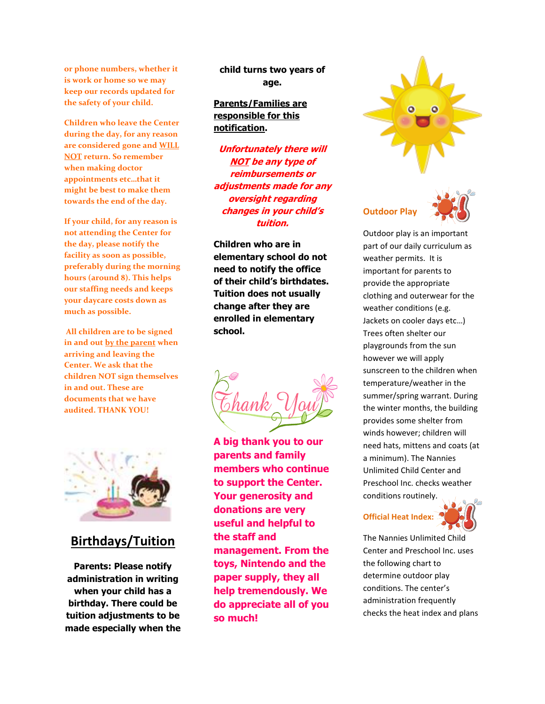**or phone numbers, whether it is work or home so we may keep our records updated for the safety of your child.** 

**Children who leave the Center during the day, for any reason are considered gone and WILL NOT return. So remember when making doctor appointments etc…that it might be best to make them towards the end of the day.** 

**If your child, for any reason is not attending the Center for the day, please notify the facility as soon as possible, preferably during the morning hours (around 8). This helps our staffing needs and keeps your daycare costs down as much as possible.** 

 **All children are to be signed in and out by the parent when arriving and leaving the Center. We ask that the children NOT sign themselves in and out. These are documents that we have audited. THANK YOU!** 

**child turns two years of age.** 

#### **Parents/Families are responsible for this notification.**

**Unfortunately there will NOT be any type of reimbursements or adjustments made for any oversight regarding changes in your child's tuition.** 

**Children who are in elementary school do not need to notify the office of their child's birthdates. Tuition does not usually change after they are enrolled in elementary school.** 





### **Birthdays/Tuition**

**Parents: Please notify administration in writing when your child has a birthday. There could be tuition adjustments to be made especially when the**  **A big thank you to our parents and family members who continue to support the Center. Your generosity and donations are very useful and helpful to the staff and management. From the toys, Nintendo and the paper supply, they all help tremendously. We do appreciate all of you so much!** 



#### **Outdoor Play**



Outdoor play is an important part of our daily curriculum as weather permits. It is important for parents to provide the appropriate clothing and outerwear for the weather conditions (e.g. Jackets on cooler days etc…) Trees often shelter our playgrounds from the sun however we will apply sunscreen to the children when temperature/weather in the summer/spring warrant. During the winter months, the building provides some shelter from winds however; children will need hats, mittens and coats (at a minimum). The Nannies Unlimited Child Center and Preschool Inc. checks weather conditions routinely.

## **Official Heat Index:**



The Nannies Unlimited Child Center and Preschool Inc. uses the following chart to determine outdoor play conditions. The center's administration frequently checks the heat index and plans